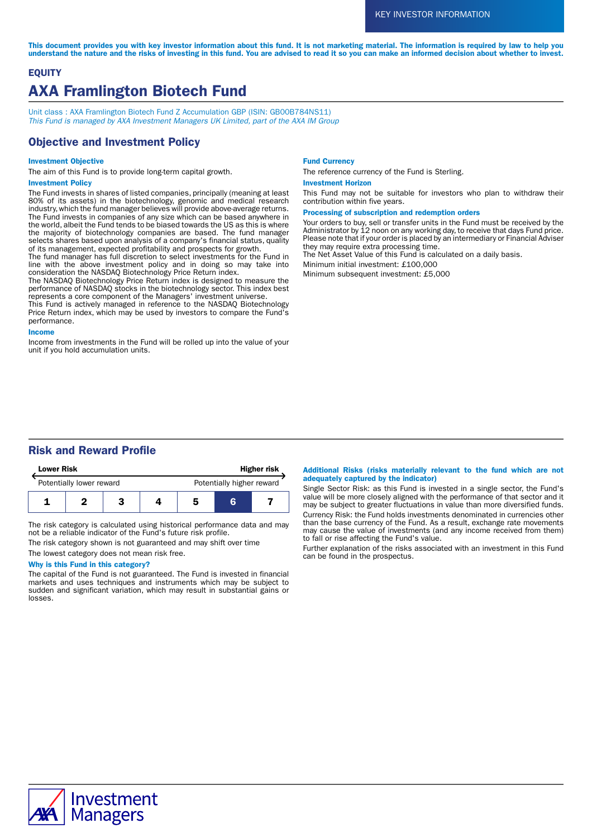This document provides you with key investor information about this fund. It is not marketing material. The information is required by law to help you understand the nature and the risks of investing in this fund. You are advised to read it so you can make an informed decision about whether to invest.

# **EQUITY** AXA Framlington Biotech Fund

Unit class : AXA Framlington Biotech Fund Z Accumulation GBP (ISIN: GB00B784NS11) This Fund is managed by AXA Investment Managers UK Limited, part of the AXA IM Group

### Objective and Investment Policy

### Investment Objective

The aim of this Fund is to provide long-term capital growth.

### Investment Policy

The Fund invests in shares of listed companies, principally (meaning at least 80% of its assets) in the biotechnology, genomic and medical research industry, which the fund manager believes will provide above-average returns. The Fund invests in companies of any size which can be based anywhere in the world, albeit the Fund tends to be biased towards the US as this is where the majority of biotechnology companies are based. The fund manager selects shares based upon analysis of a company's financial status, quality of its management, expected profitability and prospects for growth.

The fund manager has full discretion to select investments for the Fund in line with the above investment policy and in doing so may take into consideration the NASDAQ Biotechnology Price Return index.

The NASDAQ Biotechnology Price Return index is designed to measure the performance of NASDAQ stocks in the biotechnology sector. This index best represents a core component of the Managers' investment universe.

This Fund is actively managed in reference to the NASDAQ Biotechnology Price Return index, which may be used by investors to compare the Fund's performance.

### Income

Income from investments in the Fund will be rolled up into the value of your unit if you hold accumulation units.

#### Fund Currency

The reference currency of the Fund is Sterling.

#### Investment Horizon

This Fund may not be suitable for investors who plan to withdraw their contribution within five years.

#### Processing of subscription and redemption orders

Your orders to buy, sell or transfer units in the Fund must be received by the Administrator by 12 noon on any working day, to receive that days Fund price. Please note that if your order is placed by an intermediary or Financial Adviser they may require extra processing time.

The Net Asset Value of this Fund is calculated on a daily basis.

Minimum initial investment: £100,000

Minimum subsequent investment: £5,000

## Risk and Reward Profile

| <b>Lower Risk</b>        |  |  | <b>Higher risk</b> |                           |   |  |
|--------------------------|--|--|--------------------|---------------------------|---|--|
| Potentially lower reward |  |  |                    | Potentially higher reward |   |  |
|                          |  |  |                    | 5                         | R |  |

The risk category is calculated using historical performance data and may not be a reliable indicator of the Fund's future risk profile.

The risk category shown is not guaranteed and may shift over time The lowest category does not mean risk free.

### Why is this Fund in this category?

The capital of the Fund is not guaranteed. The Fund is invested in financial markets and uses techniques and instruments which may be subject to sudden and significant variation, which may result in substantial gains or losses.

#### Additional Risks (risks materially relevant to the fund which are not adequately captured by the indicator)

Single Sector Risk: as this Fund is invested in a single sector, the Fund's value will be more closely aligned with the performance of that sector and it may be subject to greater fluctuations in value than more diversified funds. Currency Risk: the Fund holds investments denominated in currencies other than the base currency of the Fund. As a result, exchange rate movements may cause the value of investments (and any income received from them) to fall or rise affecting the Fund's value.

Further explanation of the risks associated with an investment in this Fund can be found in the prospectus.